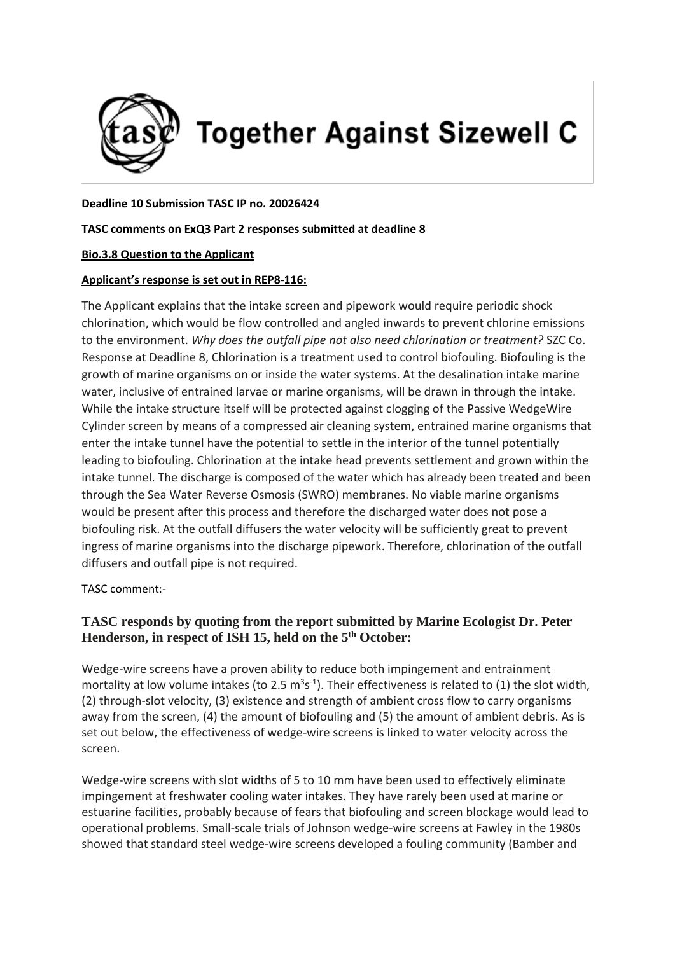

**Together Against Sizewell C** 

### **Deadline 10 Submission TASC IP no. 20026424**

## **TASC comments on ExQ3 Part 2 responses submitted at deadline 8**

## **Bio.3.8 Question to the Applicant**

## **Applicant's response is set out in REP8-116:**

The Applicant explains that the intake screen and pipework would require periodic shock chlorination, which would be flow controlled and angled inwards to prevent chlorine emissions to the environment. *Why does the outfall pipe not also need chlorination or treatment?* SZC Co. Response at Deadline 8, Chlorination is a treatment used to control biofouling. Biofouling is the growth of marine organisms on or inside the water systems. At the desalination intake marine water, inclusive of entrained larvae or marine organisms, will be drawn in through the intake. While the intake structure itself will be protected against clogging of the Passive WedgeWire Cylinder screen by means of a compressed air cleaning system, entrained marine organisms that enter the intake tunnel have the potential to settle in the interior of the tunnel potentially leading to biofouling. Chlorination at the intake head prevents settlement and grown within the intake tunnel. The discharge is composed of the water which has already been treated and been through the Sea Water Reverse Osmosis (SWRO) membranes. No viable marine organisms would be present after this process and therefore the discharged water does not pose a biofouling risk. At the outfall diffusers the water velocity will be sufficiently great to prevent ingress of marine organisms into the discharge pipework. Therefore, chlorination of the outfall diffusers and outfall pipe is not required.

TASC comment:-

# **TASC responds by quoting from the report submitted by Marine Ecologist Dr. Peter Henderson, in respect of ISH 15, held on the 5 th October:**

Wedge-wire screens have a proven ability to reduce both impingement and entrainment mortality at low volume intakes (to 2.5  $m^3s^{-1}$ ). Their effectiveness is related to (1) the slot width, (2) through-slot velocity, (3) existence and strength of ambient cross flow to carry organisms away from the screen, (4) the amount of biofouling and (5) the amount of ambient debris. As is set out below, the effectiveness of wedge-wire screens is linked to water velocity across the screen.

Wedge-wire screens with slot widths of 5 to 10 mm have been used to effectively eliminate impingement at freshwater cooling water intakes. They have rarely been used at marine or estuarine facilities, probably because of fears that biofouling and screen blockage would lead to operational problems. Small-scale trials of Johnson wedge-wire screens at Fawley in the 1980s showed that standard steel wedge-wire screens developed a fouling community (Bamber and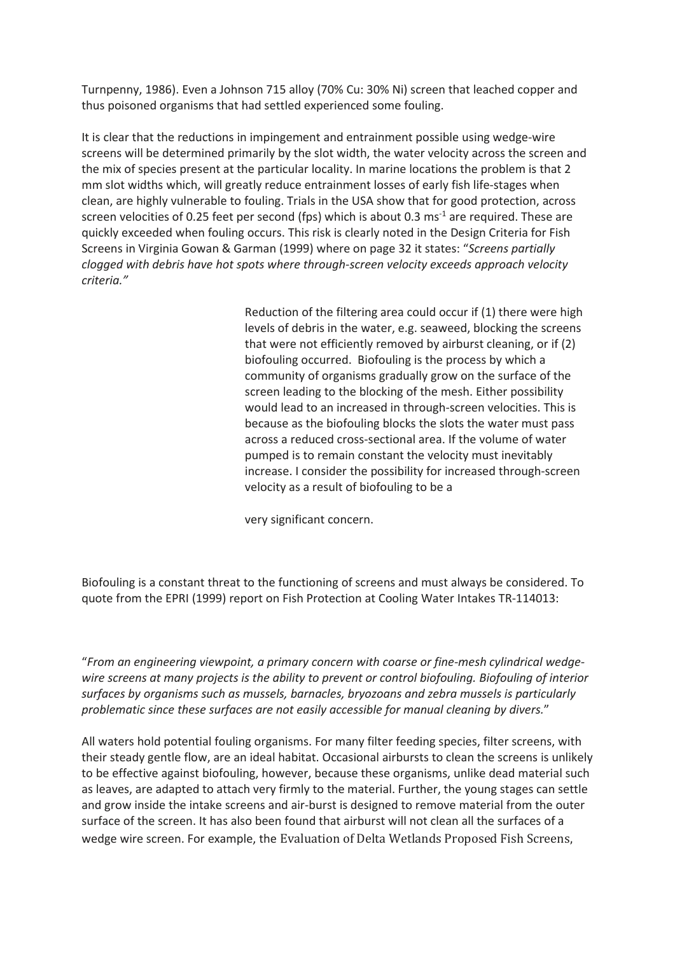Turnpenny, 1986). Even a Johnson 715 alloy (70% Cu: 30% Ni) screen that leached copper and thus poisoned organisms that had settled experienced some fouling.

It is clear that the reductions in impingement and entrainment possible using wedge-wire screens will be determined primarily by the slot width, the water velocity across the screen and the mix of species present at the particular locality. In marine locations the problem is that 2 mm slot widths which, will greatly reduce entrainment losses of early fish life-stages when clean, are highly vulnerable to fouling. Trials in the USA show that for good protection, across screen velocities of 0.25 feet per second (fps) which is about 0.3 ms<sup>-1</sup> are required. These are quickly exceeded when fouling occurs. This risk is clearly noted in the Design Criteria for Fish Screens in Virginia Gowan & Garman (1999) where on page 32 it states: "*Screens partially clogged with debris have hot spots where through-screen velocity exceeds approach velocity criteria."*

> Reduction of the filtering area could occur if (1) there were high levels of debris in the water, e.g. seaweed, blocking the screens that were not efficiently removed by airburst cleaning, or if (2) biofouling occurred. Biofouling is the process by which a community of organisms gradually grow on the surface of the screen leading to the blocking of the mesh. Either possibility would lead to an increased in through-screen velocities. This is because as the biofouling blocks the slots the water must pass across a reduced cross-sectional area. If the volume of water pumped is to remain constant the velocity must inevitably increase. I consider the possibility for increased through-screen velocity as a result of biofouling to be a

very significant concern.

Biofouling is a constant threat to the functioning of screens and must always be considered. To quote from the EPRI (1999) report on Fish Protection at Cooling Water Intakes TR-114013:

"*From an engineering viewpoint, a primary concern with coarse or fine-mesh cylindrical wedgewire screens at many projects is the ability to prevent or control biofouling. Biofouling of interior surfaces by organisms such as mussels, barnacles, bryozoans and zebra mussels is particularly problematic since these surfaces are not easily accessible for manual cleaning by divers.*"

All waters hold potential fouling organisms. For many filter feeding species, filter screens, with their steady gentle flow, are an ideal habitat. Occasional airbursts to clean the screens is unlikely to be effective against biofouling, however, because these organisms, unlike dead material such as leaves, are adapted to attach very firmly to the material. Further, the young stages can settle and grow inside the intake screens and air-burst is designed to remove material from the outer surface of the screen. It has also been found that airburst will not clean all the surfaces of a wedge wire screen. For example, the Evaluation of Delta Wetlands Proposed Fish Screens,